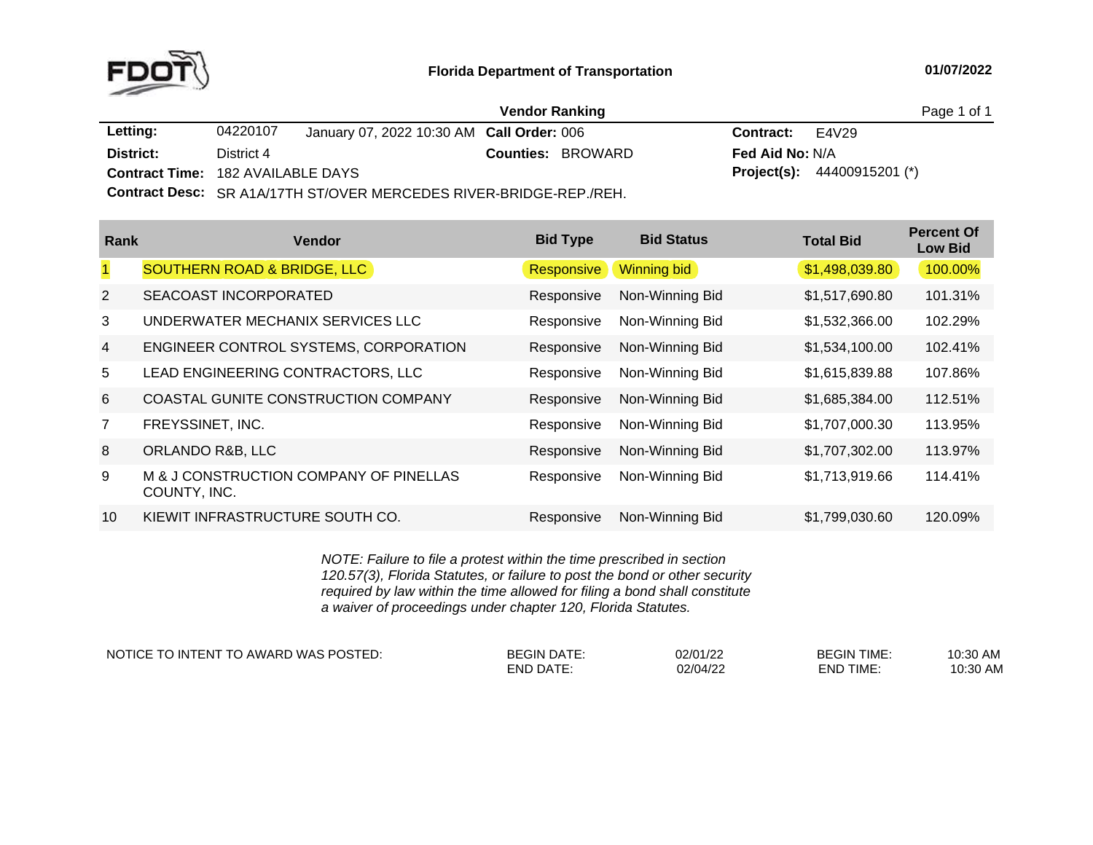

|                                          |            |                                           | <b>Vendor Ranking</b>    |                          | Page 1 of 1                          |  |
|------------------------------------------|------------|-------------------------------------------|--------------------------|--------------------------|--------------------------------------|--|
| Letting:                                 | 04220107   | January 07, 2022 10:30 AM Call Order: 006 |                          | <b>Contract:</b> $E4V29$ |                                      |  |
| District:                                | District 4 |                                           | <b>Counties: BROWARD</b> | <b>Fed Aid No: N/A</b>   |                                      |  |
| <b>Contract Time: 182 AVAILABLE DAYS</b> |            |                                           |                          |                          | <b>Project(s):</b> $44400915201$ (*) |  |
|                                          |            |                                           |                          |                          |                                      |  |

**Contract Desc:** SR A1A/17TH ST/OVER MERCEDES RIVER-BRIDGE-REP./REH.

| Rank           | Vendor                                                 | <b>Bid Type</b> | <b>Bid Status</b> | <b>Total Bid</b> | <b>Percent Of</b><br><b>Low Bid</b> |
|----------------|--------------------------------------------------------|-----------------|-------------------|------------------|-------------------------------------|
| $\mathbf{1}$   | <b>SOUTHERN ROAD &amp; BRIDGE, LLC</b>                 | Responsive      | Winning bid       | \$1,498,039.80   | 100.00%                             |
| 2              | SEACOAST INCORPORATED                                  | Responsive      | Non-Winning Bid   | \$1,517,690.80   | 101.31%                             |
| 3              | UNDERWATER MECHANIX SERVICES LLC                       | Responsive      | Non-Winning Bid   | \$1,532,366.00   | 102.29%                             |
| $\overline{4}$ | ENGINEER CONTROL SYSTEMS, CORPORATION                  | Responsive      | Non-Winning Bid   | \$1,534,100.00   | 102.41%                             |
| 5              | LEAD ENGINEERING CONTRACTORS, LLC                      | Responsive      | Non-Winning Bid   | \$1,615,839.88   | 107.86%                             |
| 6              | COASTAL GUNITE CONSTRUCTION COMPANY                    | Responsive      | Non-Winning Bid   | \$1,685,384.00   | 112.51%                             |
| $\overline{7}$ | FREYSSINET, INC.                                       | Responsive      | Non-Winning Bid   | \$1,707,000.30   | 113.95%                             |
| 8              | ORLANDO R&B, LLC                                       | Responsive      | Non-Winning Bid   | \$1,707,302.00   | 113.97%                             |
| 9              | M & J CONSTRUCTION COMPANY OF PINELLAS<br>COUNTY, INC. | Responsive      | Non-Winning Bid   | \$1,713,919.66   | 114.41%                             |
| 10             | KIEWIT INFRASTRUCTURE SOUTH CO.                        | Responsive      | Non-Winning Bid   | \$1,799,030.60   | 120.09%                             |

*NOTE: Failure to file <sup>a</sup> protest within the time prescribed in section 120.57(3), Florida Statutes, or failure to post the bond or other security required by law within the time allowed for filing <sup>a</sup> bond shall constitute a waiver of proceedings under chapter 120, Florida Statutes.*

NOTICE TO INTENT TO AWARD WAS POSTED: BEGIN DATE: 02/01/22 BEGIN TIME: 10:30 AM

END DATE: 02/04/22 END TIME:

10:30 AM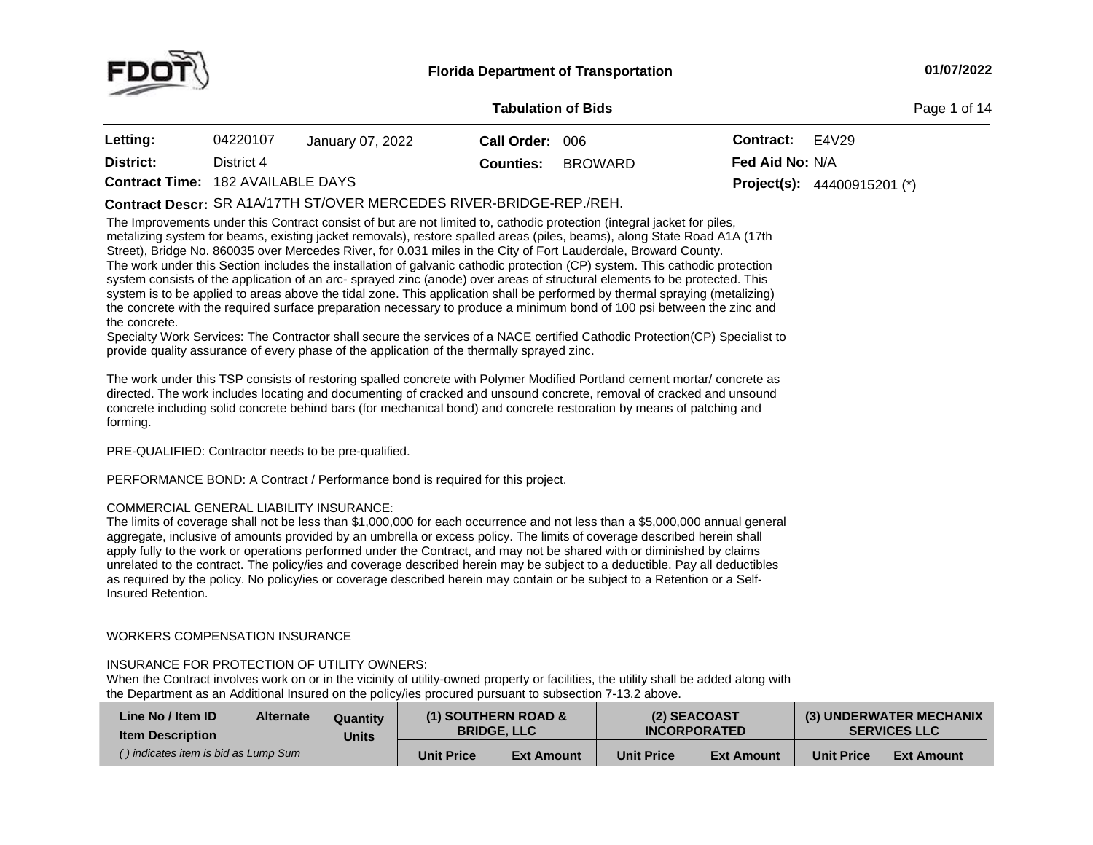

#### **01/07/2022**

#### **Tabulation**

**Page 1 of 14** 

| <b>Letting:</b>                          | 04220107   | January 07, 2022 | Call Order: 006  |         | Contract:              | E4V29                                |
|------------------------------------------|------------|------------------|------------------|---------|------------------------|--------------------------------------|
| District:                                | District 4 |                  | <b>Counties:</b> | BROWARD | <b>Fed Aid No: N/A</b> |                                      |
| <b>Contract Time: 182 AVAILABLE DAYS</b> |            |                  |                  |         |                        | <b>Project(s):</b> $44400915201$ (*) |

# **Contract Descr:** SR A1A/17TH ST/OVER MERCEDES RIVER-BRIDGE-REP./REH.

The Improvements under this Contract consist of but are not limited to, cathodic protection (integral jacket for piles, metalizing system for beams, existing jacket removals), restore spalled areas (piles, beams), along State Road A1A (17th<br>Street), Bridge No. 860035 over Mercodes Biver, for 0.031 miles in the City of Eert Lauderdale, Browa Street), Bridge No. <sup>860035</sup> over Mercedes River, for 0.031 miles in the City of Fort Lauderdale, Broward County. The work under this Section includes the installation of galvanic cathodic protection (CP) system. This cathodic protection system consists of the application of an arc- sprayed zinc (anode) over areas of structural elements to be protected. This<br>system is to be applied to areas above the tidal zone. This application shall be performed by therm system is to be applied to areas above the tidal zone. This application shall be performed by thermal spraying (metalizing)<br>the concrete with the required surface proporation peopsony to produce a minimum bond of 100 psi b the concrete with the required surface preparation necessary to produce a minimum bond of 100 psi between the zinc and<br>the concrete the concrete.

Specialty Work Services: The Contractor shall secure the services of a NACE certified Cathodic Protection(CP) Specialist to<br>servide well's converged of averaging and the crafter from the thermally created direct provide quality assurance of every phase of the application of the thermally sprayed zinc.

The work under this TSP consists of restoring spalled concrete with Polymer Modified Portland cement mortar/ concrete as directed. The work includes locating and documenting of cracked and unsound concrete, removal of cracked and unsound concrete including solid concrete behind bars (for mechanical bond) and concrete restoration by means of patching and forming.

PRE-QUALIFIED: Contractor needs to be pre-qualified.

PERFORMANCE BOND: <sup>A</sup> Contract / Performance bond is required for this project.

## COMMERCIAL GENERAL LIABILITY INSURANCE:

The limits of coverage shall not be less than \$1,000,000 for each occurrence and not less than <sup>a</sup> \$5,000,000 annual general aggregate, inclusive of amounts provided by an umbrella or excess policy. The limits of coverage described herein shall apply fully to the work or operations performed under the Contract, and may not be shared with or diminished by claims unrelated to the contract. The policy/ies and coverage described herein may be subject to <sup>a</sup> deductible. Pay all deductibles as required by the policy. No policy/ies or coverage described herein may contain or be subject to a Retention or a Self-<br>Insured Retention. Insured Retention.

# WORKERS COMPENSATION INSURANCE

# INSURANCE FOR PROTECTION OF UTILITY OWNERS:

When the Contract involves work on or in the vicinity of utility-owned property or facilities, the utility shall be added along with the Department as an Additional Insured on the policy/ies procured pursuant to subsection 7-13.2 above.

| Line No / Item ID<br><b>Alternate</b><br>Quantity<br><b>Item Description</b><br>Units |  |                   | <b>(1) SOUTHERN ROAD &amp;</b><br><b>BRIDGE. LLC</b> | (2) SEACOAST<br><b>INCORPORATED</b> |                   | (3) UNDERWATER MECHANIX<br><b>SERVICES LLC</b> |                   |
|---------------------------------------------------------------------------------------|--|-------------------|------------------------------------------------------|-------------------------------------|-------------------|------------------------------------------------|-------------------|
| () indicates item is bid as Lump Sum                                                  |  | <b>Unit Price</b> | <b>Ext Amount</b>                                    | <b>Unit Price</b>                   | <b>Ext Amount</b> | <b>Unit Price</b>                              | <b>Ext Amount</b> |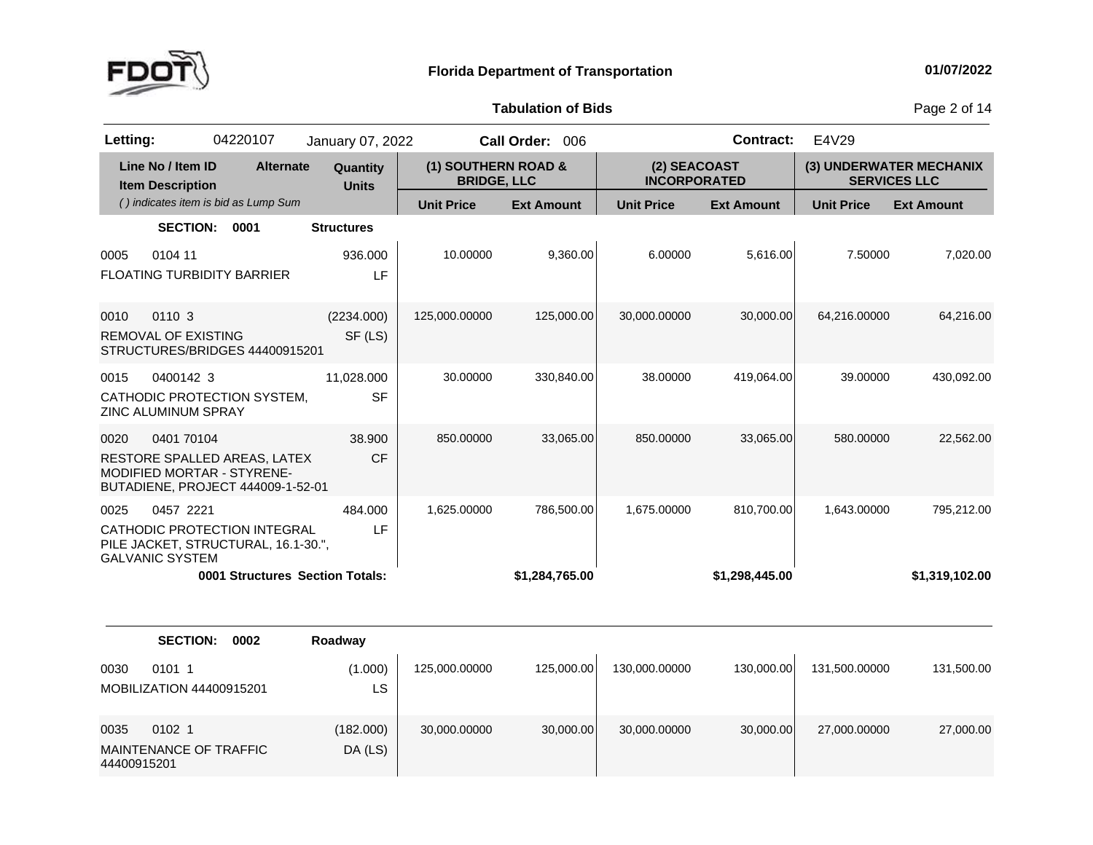

**of Bids** Page <sup>2</sup> of <sup>14</sup>

| Letting:            |                                              | 04220107                                                                                        | January 07, 2022                |                                           | Call Order: 006   |                                     | <b>Contract:</b>  | E4V29             |                                                |
|---------------------|----------------------------------------------|-------------------------------------------------------------------------------------------------|---------------------------------|-------------------------------------------|-------------------|-------------------------------------|-------------------|-------------------|------------------------------------------------|
|                     | Line No / Item ID<br><b>Item Description</b> | <b>Alternate</b>                                                                                | Quantity<br><b>Units</b>        | (1) SOUTHERN ROAD &<br><b>BRIDGE, LLC</b> |                   | (2) SEACOAST<br><b>INCORPORATED</b> |                   |                   | (3) UNDERWATER MECHANIX<br><b>SERVICES LLC</b> |
|                     |                                              | () indicates item is bid as Lump Sum                                                            |                                 | <b>Unit Price</b>                         | <b>Ext Amount</b> | <b>Unit Price</b>                   | <b>Ext Amount</b> | <b>Unit Price</b> | <b>Ext Amount</b>                              |
|                     | <b>SECTION:</b>                              | 0001                                                                                            | <b>Structures</b>               |                                           |                   |                                     |                   |                   |                                                |
| 0005                | 0104 11                                      | FLOATING TURBIDITY BARRIER                                                                      | 936.000<br>LF                   | 10.00000                                  | 9,360.00          | 6.00000                             | 5,616.00          | 7.50000           | 7,020.00                                       |
| 0010                | 0110 3<br><b>REMOVAL OF EXISTING</b>         | STRUCTURES/BRIDGES 44400915201                                                                  | (2234.000)<br>SF (LS)           | 125,000.00000                             | 125,000.00        | 30,000.00000                        | 30,000.00         | 64,216.00000      | 64,216.00                                      |
| 0015                | 0400142 3<br>ZINC ALUMINUM SPRAY             | CATHODIC PROTECTION SYSTEM,                                                                     | 11,028.000<br><b>SF</b>         | 30.00000                                  | 330,840.00        | 38.00000                            | 419,064.00        | 39.00000          | 430,092.00                                     |
| 0020                | 0401 70104                                   | RESTORE SPALLED AREAS, LATEX<br>MODIFIED MORTAR - STYRENE-<br>BUTADIENE, PROJECT 444009-1-52-01 | 38.900<br><b>CF</b>             | 850.00000                                 | 33,065.00         | 850.00000                           | 33,065.00         | 580.00000         | 22,562.00                                      |
| 0025                | 0457 2221<br><b>GALVANIC SYSTEM</b>          | CATHODIC PROTECTION INTEGRAL<br>PILE JACKET, STRUCTURAL, 16.1-30.",                             | 484.000<br>LF                   | 1,625.00000                               | 786,500.00        | 1,675.00000                         | 810,700.00        | 1,643.00000       | 795,212.00                                     |
|                     |                                              |                                                                                                 | 0001 Structures Section Totals: |                                           | \$1,284,765.00    |                                     | \$1,298,445.00    |                   | \$1,319,102.00                                 |
|                     | <b>SECTION:</b>                              | 0002                                                                                            | Roadway                         |                                           |                   |                                     |                   |                   |                                                |
| 0030                | 0101 1<br>MOBILIZATION 44400915201           |                                                                                                 | (1.000)<br>LS                   | 125,000.00000                             | 125,000.00        | 130,000.00000                       | 130,000.00        | 131,500.00000     | 131,500.00                                     |
| 0035<br>44400915201 | 0102 1<br><b>MAINTENANCE OF TRAFFIC</b>      |                                                                                                 | (182.000)<br>DA (LS)            | 30,000.00000                              | 30,000.00         | 30,000.00000                        | 30,000.00         | 27,000.00000      | 27,000.00                                      |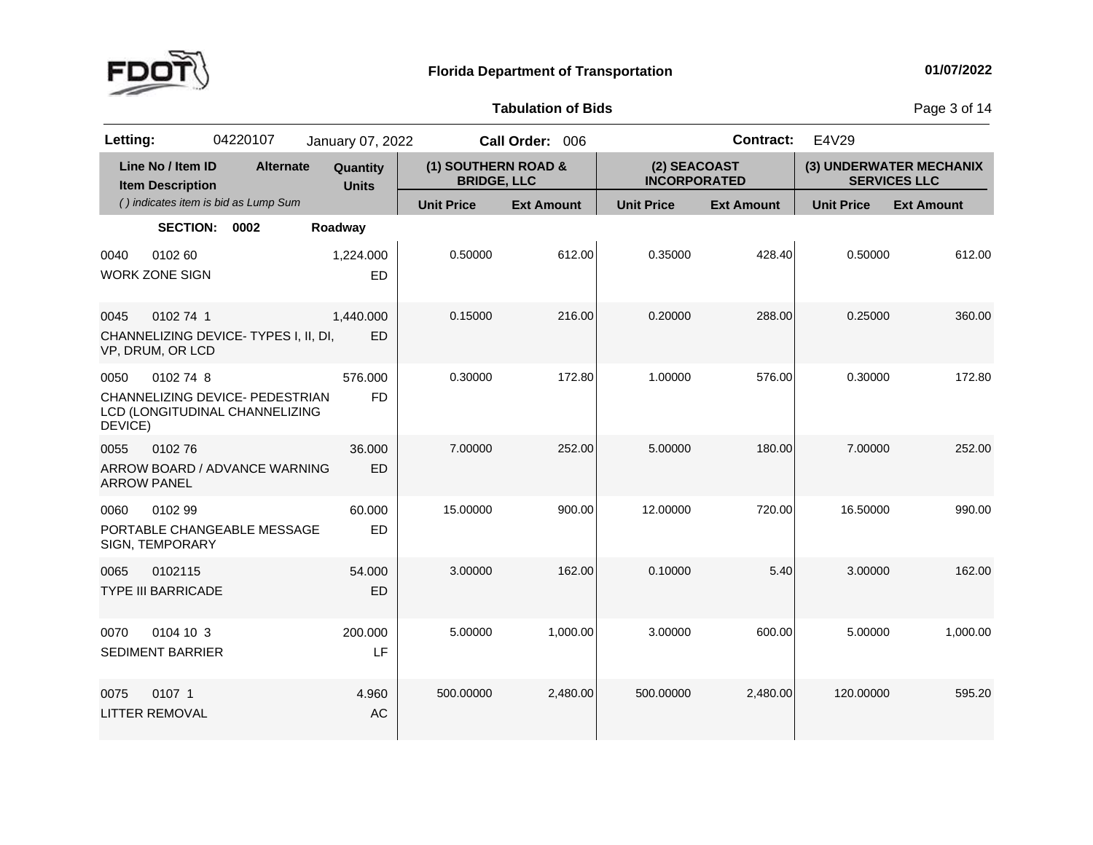

**of Bids** Page <sup>3</sup> of <sup>14</sup>

| Letting:                   |                                              | 04220107                                                          | January 07, 2022         |                                           | Call Order: 006   |                                     | <b>Contract:</b>  | E4V29             |                                                |
|----------------------------|----------------------------------------------|-------------------------------------------------------------------|--------------------------|-------------------------------------------|-------------------|-------------------------------------|-------------------|-------------------|------------------------------------------------|
|                            | Line No / Item ID<br><b>Item Description</b> | <b>Alternate</b>                                                  | Quantity<br><b>Units</b> | (1) SOUTHERN ROAD &<br><b>BRIDGE, LLC</b> |                   | (2) SEACOAST<br><b>INCORPORATED</b> |                   |                   | (3) UNDERWATER MECHANIX<br><b>SERVICES LLC</b> |
|                            |                                              | () indicates item is bid as Lump Sum                              |                          | <b>Unit Price</b>                         | <b>Ext Amount</b> | <b>Unit Price</b>                   | <b>Ext Amount</b> | <b>Unit Price</b> | <b>Ext Amount</b>                              |
|                            | <b>SECTION:</b>                              | 0002                                                              | Roadway                  |                                           |                   |                                     |                   |                   |                                                |
| 0040                       | 0102 60<br><b>WORK ZONE SIGN</b>             |                                                                   | 1,224.000<br>ED          | 0.50000                                   | 612.00            | 0.35000                             | 428.40            | 0.50000           | 612.00                                         |
| 0045                       | 0102 74 1<br>VP, DRUM, OR LCD                | CHANNELIZING DEVICE-TYPES I, II, DI,                              | 1,440.000<br><b>ED</b>   | 0.15000                                   | 216.00            | 0.20000                             | 288.00            | 0.25000           | 360.00                                         |
| 0050<br>DEVICE)            | 0102 74 8                                    | CHANNELIZING DEVICE- PEDESTRIAN<br>LCD (LONGITUDINAL CHANNELIZING | 576.000<br><b>FD</b>     | 0.30000                                   | 172.80            | 1.00000                             | 576.00            | 0.30000           | 172.80                                         |
| 0055<br><b>ARROW PANEL</b> | 010276                                       | ARROW BOARD / ADVANCE WARNING                                     | 36.000<br>ED             | 7.00000                                   | 252.00            | 5.00000                             | 180.00            | 7.00000           | 252.00                                         |
| 0060                       | 0102 99<br>SIGN, TEMPORARY                   | PORTABLE CHANGEABLE MESSAGE                                       | 60.000<br><b>ED</b>      | 15.00000                                  | 900.00            | 12.00000                            | 720.00            | 16.50000          | 990.00                                         |
| 0065                       | 0102115<br><b>TYPE III BARRICADE</b>         |                                                                   | 54.000<br>ED             | 3.00000                                   | 162.00            | 0.10000                             | 5.40              | 3.00000           | 162.00                                         |
| 0070                       | 0104 10 3<br><b>SEDIMENT BARRIER</b>         |                                                                   | 200.000<br>LF            | 5.00000                                   | 1,000.00          | 3.00000                             | 600.00            | 5.00000           | 1,000.00                                       |
| 0075                       | 0107 1<br><b>LITTER REMOVAL</b>              |                                                                   | 4.960<br>AC              | 500.00000                                 | 2,480.00          | 500.00000                           | 2,480.00          | 120.00000         | 595.20                                         |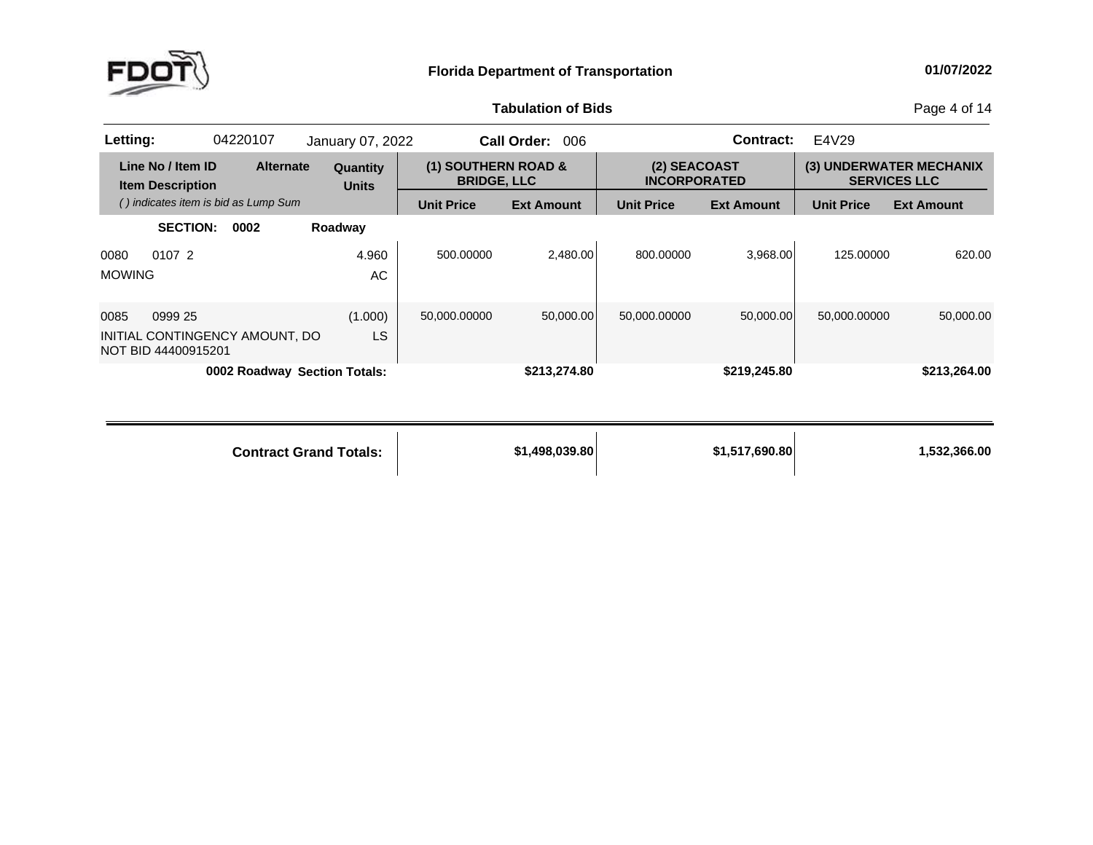

**of Bids** Page <sup>4</sup> of <sup>14</sup>

| Letting:              |                                                                  | 04220107 |                  | January 07, 2022                    |                                           | <b>Call Order:</b><br>006 |                                     | Contract:         | E4V29             |                                                |
|-----------------------|------------------------------------------------------------------|----------|------------------|-------------------------------------|-------------------------------------------|---------------------------|-------------------------------------|-------------------|-------------------|------------------------------------------------|
|                       | Line No / Item ID<br><b>Item Description</b>                     |          | <b>Alternate</b> | Quantity<br><b>Units</b>            | (1) SOUTHERN ROAD &<br><b>BRIDGE, LLC</b> |                           | (2) SEACOAST<br><b>INCORPORATED</b> |                   |                   | (3) UNDERWATER MECHANIX<br><b>SERVICES LLC</b> |
|                       | () indicates item is bid as Lump Sum                             |          |                  |                                     | <b>Unit Price</b>                         | <b>Ext Amount</b>         | <b>Unit Price</b>                   | <b>Ext Amount</b> | <b>Unit Price</b> | <b>Ext Amount</b>                              |
|                       | <b>SECTION:</b>                                                  | 0002     |                  | Roadway                             |                                           |                           |                                     |                   |                   |                                                |
| 0080<br><b>MOWING</b> | 0107 2                                                           |          |                  | 4.960<br>AC                         | 500.00000                                 | 2.480.00                  | 800.00000                           | 3.968.00          | 125.00000         | 620.00                                         |
| 0085                  | 0999 25<br>INITIAL CONTINGENCY AMOUNT, DO<br>NOT BID 44400915201 |          |                  | (1.000)<br>LS                       | 50,000.00000                              | 50,000.00                 | 50,000.00000                        | 50,000.00         | 50,000.00000      | 50,000.00                                      |
|                       |                                                                  |          |                  | <b>0002 Roadway Section Totals:</b> |                                           | \$213,274.80              |                                     | \$219,245.80      |                   | \$213,264.00                                   |

**Contract Grand**

**Totals: \$1,498,039.80 \$1,517,690.80 1,532,366.00**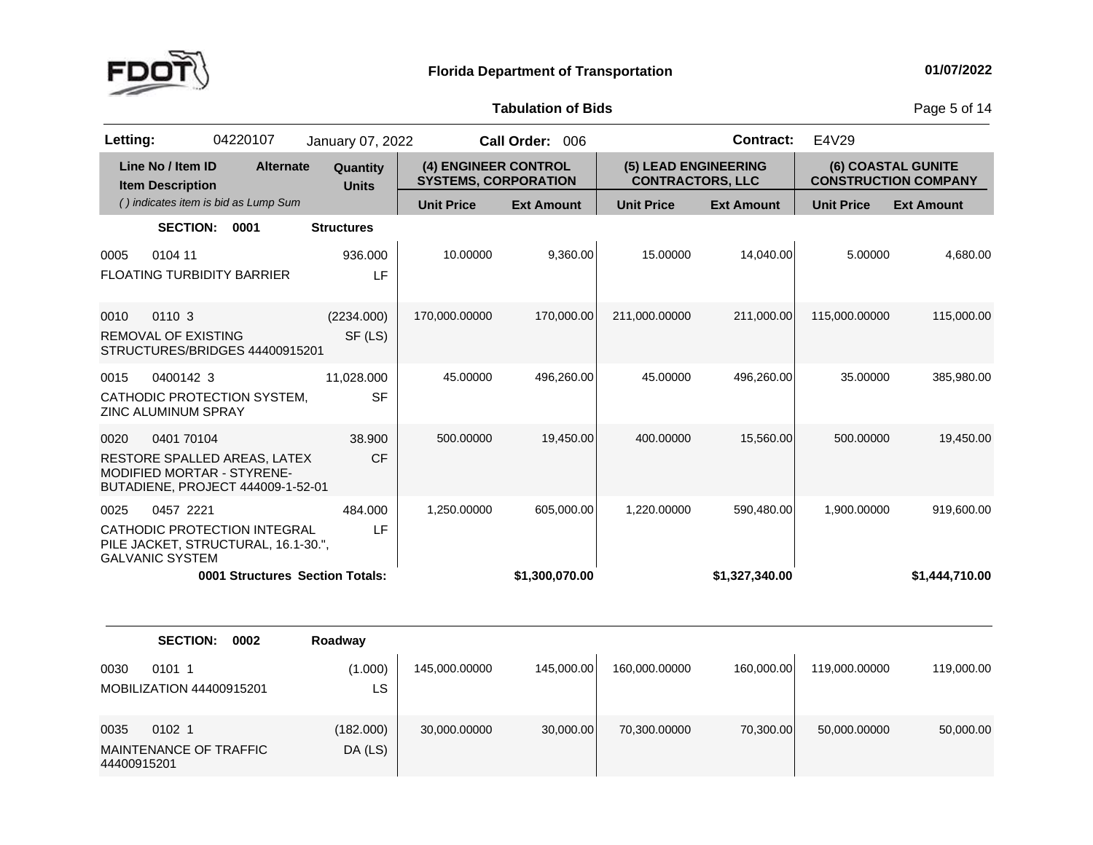

**of Bids** Page <sup>5</sup> of <sup>14</sup>

| Letting:            |                                              | 04220107                                                                                               | January 07, 2022                |                                                     | Call Order: 006   |                                                 | <b>Contract:</b>  | E4V29             |                                                   |
|---------------------|----------------------------------------------|--------------------------------------------------------------------------------------------------------|---------------------------------|-----------------------------------------------------|-------------------|-------------------------------------------------|-------------------|-------------------|---------------------------------------------------|
|                     | Line No / Item ID<br><b>Item Description</b> | <b>Alternate</b>                                                                                       | Quantity<br><b>Units</b>        | (4) ENGINEER CONTROL<br><b>SYSTEMS, CORPORATION</b> |                   | (5) LEAD ENGINEERING<br><b>CONTRACTORS, LLC</b> |                   |                   | (6) COASTAL GUNITE<br><b>CONSTRUCTION COMPANY</b> |
|                     |                                              | () indicates item is bid as Lump Sum                                                                   |                                 | <b>Unit Price</b>                                   | <b>Ext Amount</b> | <b>Unit Price</b>                               | <b>Ext Amount</b> | <b>Unit Price</b> | <b>Ext Amount</b>                                 |
|                     | <b>SECTION:</b>                              | 0001                                                                                                   | <b>Structures</b>               |                                                     |                   |                                                 |                   |                   |                                                   |
| 0005                | 0104 11                                      | <b>FLOATING TURBIDITY BARRIER</b>                                                                      | 936.000<br>LF                   | 10.00000                                            | 9,360.00          | 15.00000                                        | 14,040.00         | 5.00000           | 4,680.00                                          |
| 0010                | 0110 3<br><b>REMOVAL OF EXISTING</b>         | STRUCTURES/BRIDGES 44400915201                                                                         | (2234.000)<br>SF (LS)           | 170,000.00000                                       | 170,000.00        | 211,000.00000                                   | 211,000.00        | 115,000.00000     | 115,000.00                                        |
| 0015                | 0400142 3<br>ZINC ALUMINUM SPRAY             | CATHODIC PROTECTION SYSTEM,                                                                            | 11,028.000<br><b>SF</b>         | 45.00000                                            | 496,260.00        | 45.00000                                        | 496,260.00        | 35.00000          | 385,980.00                                        |
| 0020                | 0401 70104                                   | RESTORE SPALLED AREAS, LATEX<br><b>MODIFIED MORTAR - STYRENE-</b><br>BUTADIENE, PROJECT 444009-1-52-01 | 38.900<br><b>CF</b>             | 500.00000                                           | 19,450.00         | 400.00000                                       | 15,560.00         | 500.00000         | 19,450.00                                         |
| 0025                | 0457 2221<br><b>GALVANIC SYSTEM</b>          | CATHODIC PROTECTION INTEGRAL<br>PILE JACKET, STRUCTURAL, 16.1-30.",                                    | 484.000<br>LF                   | 1,250.00000                                         | 605,000.00        | 1,220.00000                                     | 590,480.00        | 1,900.00000       | 919,600.00                                        |
|                     |                                              |                                                                                                        | 0001 Structures Section Totals: |                                                     | \$1,300,070.00    |                                                 | \$1,327,340.00    |                   | \$1,444,710.00                                    |
|                     | <b>SECTION:</b>                              | 0002                                                                                                   | Roadway                         |                                                     |                   |                                                 |                   |                   |                                                   |
| 0030                | 0101 1<br><b>MOBILIZATION 44400915201</b>    |                                                                                                        | (1.000)<br>LS                   | 145,000.00000                                       | 145,000.00        | 160,000.00000                                   | 160,000.00        | 119,000.00000     | 119,000.00                                        |
| 0035<br>44400915201 | 0102 1<br>MAINTENANCE OF TRAFFIC             |                                                                                                        | (182.000)<br>DA (LS)            | 30,000.00000                                        | 30,000.00         | 70,300.00000                                    | 70,300.00         | 50,000.00000      | 50,000.00                                         |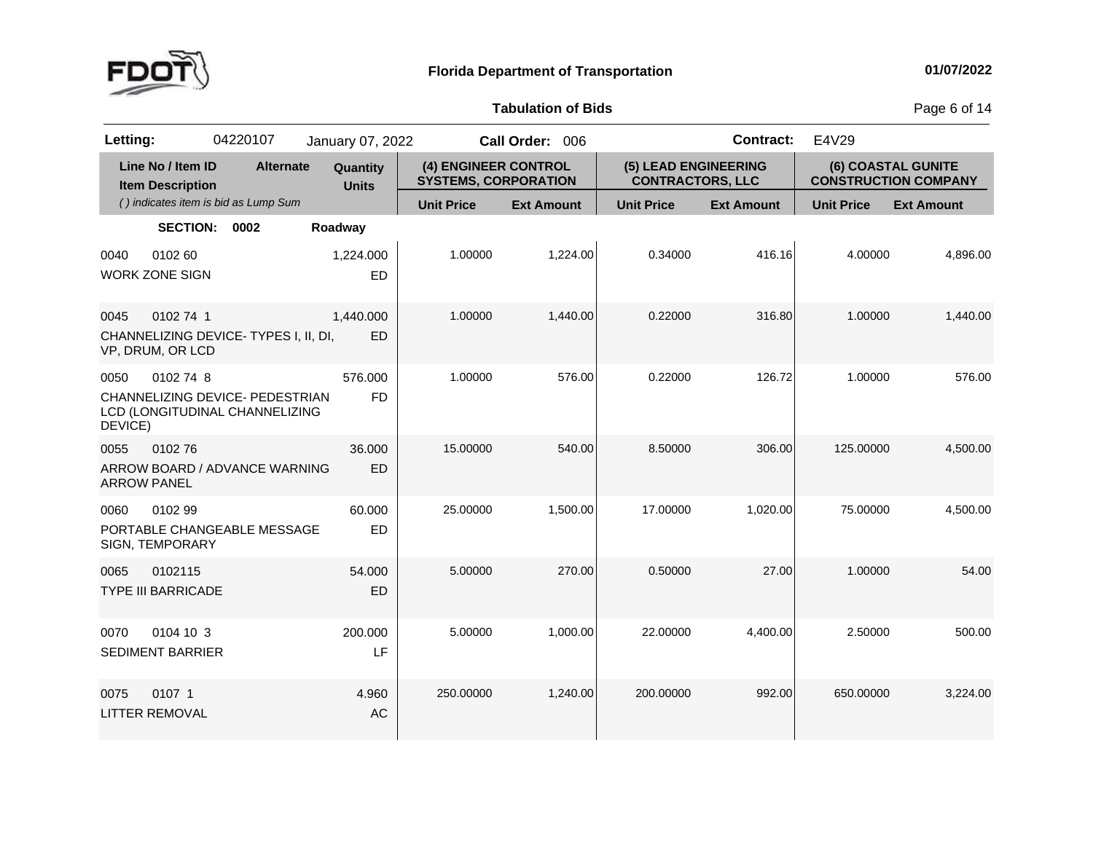

**of Bids** Page <sup>6</sup> of <sup>14</sup>

| Letting:                   |                                              | 04220107                                                          | January 07, 2022         |                                                     | Call Order: 006   |                                                 | <b>Contract:</b>  | E4V29             |                                                   |
|----------------------------|----------------------------------------------|-------------------------------------------------------------------|--------------------------|-----------------------------------------------------|-------------------|-------------------------------------------------|-------------------|-------------------|---------------------------------------------------|
|                            | Line No / Item ID<br><b>Item Description</b> | <b>Alternate</b>                                                  | Quantity<br><b>Units</b> | (4) ENGINEER CONTROL<br><b>SYSTEMS, CORPORATION</b> |                   | (5) LEAD ENGINEERING<br><b>CONTRACTORS, LLC</b> |                   |                   | (6) COASTAL GUNITE<br><b>CONSTRUCTION COMPANY</b> |
|                            |                                              | () indicates item is bid as Lump Sum                              |                          | <b>Unit Price</b>                                   | <b>Ext Amount</b> | <b>Unit Price</b>                               | <b>Ext Amount</b> | <b>Unit Price</b> | <b>Ext Amount</b>                                 |
|                            | <b>SECTION:</b>                              | 0002                                                              | Roadway                  |                                                     |                   |                                                 |                   |                   |                                                   |
| 0040                       | 0102 60<br><b>WORK ZONE SIGN</b>             |                                                                   | 1,224.000<br>ED          | 1.00000                                             | 1,224.00          | 0.34000                                         | 416.16            | 4.00000           | 4,896.00                                          |
| 0045                       | 0102 74 1<br>VP, DRUM, OR LCD                | CHANNELIZING DEVICE-TYPES I, II, DI,                              | 1,440.000<br>ED          | 1.00000                                             | 1,440.00          | 0.22000                                         | 316.80            | 1.00000           | 1,440.00                                          |
| 0050<br>DEVICE)            | 0102 74 8                                    | CHANNELIZING DEVICE- PEDESTRIAN<br>LCD (LONGITUDINAL CHANNELIZING | 576.000<br><b>FD</b>     | 1.00000                                             | 576.00            | 0.22000                                         | 126.72            | 1.00000           | 576.00                                            |
| 0055<br><b>ARROW PANEL</b> | 010276                                       | ARROW BOARD / ADVANCE WARNING                                     | 36.000<br>ED             | 15.00000                                            | 540.00            | 8.50000                                         | 306.00            | 125.00000         | 4,500.00                                          |
| 0060                       | 0102 99<br>SIGN, TEMPORARY                   | PORTABLE CHANGEABLE MESSAGE                                       | 60.000<br>ED             | 25.00000                                            | 1,500.00          | 17.00000                                        | 1,020.00          | 75.00000          | 4,500.00                                          |
| 0065                       | 0102115<br><b>TYPE III BARRICADE</b>         |                                                                   | 54.000<br><b>ED</b>      | 5.00000                                             | 270.00            | 0.50000                                         | 27.00             | 1.00000           | 54.00                                             |
| 0070                       | 0104 10 3<br><b>SEDIMENT BARRIER</b>         |                                                                   | 200.000<br>LF            | 5.00000                                             | 1,000.00          | 22.00000                                        | 4,400.00          | 2.50000           | 500.00                                            |
| 0075                       | 0107 1<br><b>LITTER REMOVAL</b>              |                                                                   | 4.960<br><b>AC</b>       | 250.00000                                           | 1,240.00          | 200.00000                                       | 992.00            | 650.00000         | 3,224.00                                          |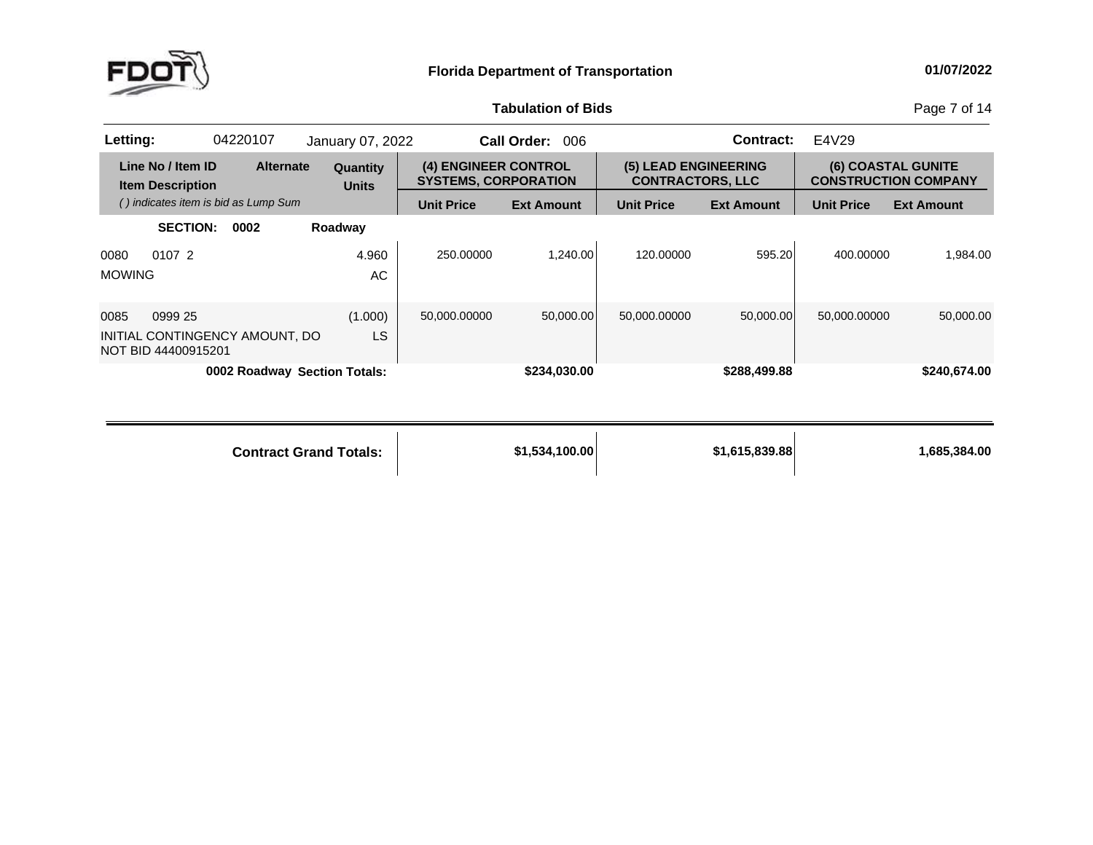

**of Bids** Page <sup>7</sup> of <sup>14</sup>

| Letting:              |                                                                  | 04220107 |                  | January 07, 2022                    |                                                     | 006<br><b>Call Order:</b> |                                                 | Contract:         | E4V29             |                                                          |
|-----------------------|------------------------------------------------------------------|----------|------------------|-------------------------------------|-----------------------------------------------------|---------------------------|-------------------------------------------------|-------------------|-------------------|----------------------------------------------------------|
|                       | Line No / Item ID<br><b>Item Description</b>                     |          | <b>Alternate</b> | Quantity<br><b>Units</b>            | (4) ENGINEER CONTROL<br><b>SYSTEMS, CORPORATION</b> |                           | (5) LEAD ENGINEERING<br><b>CONTRACTORS, LLC</b> |                   |                   | <b>(6) COASTAL GUNITE</b><br><b>CONSTRUCTION COMPANY</b> |
|                       | () indicates item is bid as Lump Sum                             |          |                  |                                     | <b>Unit Price</b>                                   | <b>Ext Amount</b>         | <b>Unit Price</b>                               | <b>Ext Amount</b> | <b>Unit Price</b> | <b>Ext Amount</b>                                        |
|                       | <b>SECTION:</b>                                                  | 0002     |                  | Roadway                             |                                                     |                           |                                                 |                   |                   |                                                          |
| 0080<br><b>MOWING</b> | 0107 2                                                           |          |                  | 4.960<br>AC.                        | 250.00000                                           | 1.240.00                  | 120.00000                                       | 595.20            | 400.00000         | 1.984.00                                                 |
| 0085                  | 0999 25<br>INITIAL CONTINGENCY AMOUNT, DO<br>NOT BID 44400915201 |          |                  | (1.000)<br>LS                       | 50,000.00000                                        | 50,000.00                 | 50,000.00000                                    | 50,000.00         | 50.000.00000      | 50,000.00                                                |
|                       |                                                                  |          |                  | <b>0002 Roadway Section Totals:</b> |                                                     | \$234,030.00              |                                                 | \$288,499.88      |                   | \$240,674.00                                             |

| <b>Contract Grand Totals:</b> | \$1,534,100.00 | \$1,615,839.88 | 1,685,384.00 |
|-------------------------------|----------------|----------------|--------------|
|                               |                |                |              |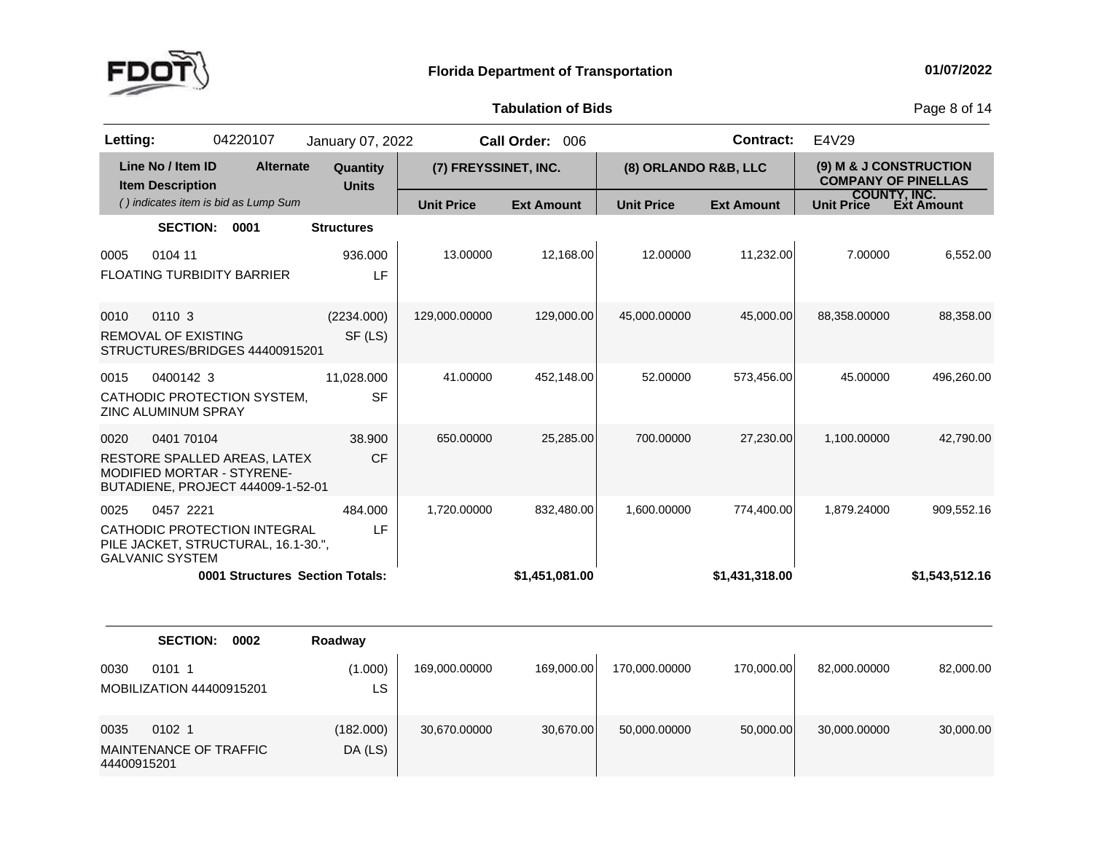

MAINTENANCE OF TRAFFIC<br>44400045004

DA (LS)

44400915201

**Tabulation**

**of Bids** Page <sup>8</sup> of <sup>14</sup>

| Letting: |                                                                                                               | 04220107 | January 07, 2022                             |                      | Call Order: 006   |                      | <b>Contract:</b>  | E4V29                                                |                                   |
|----------|---------------------------------------------------------------------------------------------------------------|----------|----------------------------------------------|----------------------|-------------------|----------------------|-------------------|------------------------------------------------------|-----------------------------------|
|          | Line No / Item ID<br><b>Item Description</b>                                                                  |          | <b>Alternate</b><br>Quantity<br><b>Units</b> | (7) FREYSSINET, INC. |                   | (8) ORLANDO R&B, LLC |                   | (9) M & J CONSTRUCTION<br><b>COMPANY OF PINELLAS</b> |                                   |
|          | () indicates item is bid as Lump Sum                                                                          |          |                                              | <b>Unit Price</b>    | <b>Ext Amount</b> | <b>Unit Price</b>    | <b>Ext Amount</b> | <b>Unit Price</b>                                    | <b>COUNTY, INC.</b><br>Ext Amount |
|          | <b>SECTION:</b>                                                                                               | 0001     | <b>Structures</b>                            |                      |                   |                      |                   |                                                      |                                   |
| 0005     | 0104 11<br><b>FLOATING TURBIDITY BARRIER</b>                                                                  |          | 936.000<br>LF                                | 13.00000             | 12.168.00         | 12.00000             | 11,232.00         | 7.00000                                              | 6,552.00                          |
| 0010     | 0110 3<br><b>REMOVAL OF EXISTING</b><br>STRUCTURES/BRIDGES 44400915201                                        |          | (2234.000)<br>SF (LS)                        | 129,000.00000        | 129,000.00        | 45,000.00000         | 45,000.00         | 88,358.00000                                         | 88,358.00                         |
| 0015     | 0400142 3<br>CATHODIC PROTECTION SYSTEM,<br>ZINC ALUMINUM SPRAY                                               |          | 11,028.000<br><b>SF</b>                      | 41.00000             | 452,148.00        | 52.00000             | 573,456.00        | 45.00000                                             | 496,260.00                        |
| 0020     | 0401 70104<br>RESTORE SPALLED AREAS, LATEX<br>MODIFIED MORTAR - STYRENE-<br>BUTADIENE, PROJECT 444009-1-52-01 |          | 38.900<br>CF                                 | 650.00000            | 25,285.00         | 700.00000            | 27,230.00         | 1,100.00000                                          | 42,790.00                         |
| 0025     | 0457 2221<br>CATHODIC PROTECTION INTEGRAL<br>PILE JACKET, STRUCTURAL, 16.1-30.",<br><b>GALVANIC SYSTEM</b>    |          | 484.000<br>LF                                | 1,720.00000          | 832,480.00        | 1,600.00000          | 774,400.00        | 1,879.24000                                          | 909,552.16                        |
|          |                                                                                                               |          | 0001 Structures Section Totals:              |                      | \$1,451,081.00    |                      | \$1,431,318.00    |                                                      | \$1,543,512.16                    |
|          | <b>SECTION:</b>                                                                                               | 0002     | Roadway                                      |                      |                   |                      |                   |                                                      |                                   |
| 0030     | 0101 1<br>MOBILIZATION 44400915201                                                                            |          | (1.000)<br>LS                                | 169,000.00000        | 169,000.00        | 170,000.00000        | 170,000.00        | 82,000.00000                                         | 82,000.00                         |
| 0035     | 0102 1                                                                                                        |          | (182.000)                                    | 30,670.00000         | 30,670.00         | 50,000.00000         | 50,000.00         | 30,000.00000                                         | 30,000.00                         |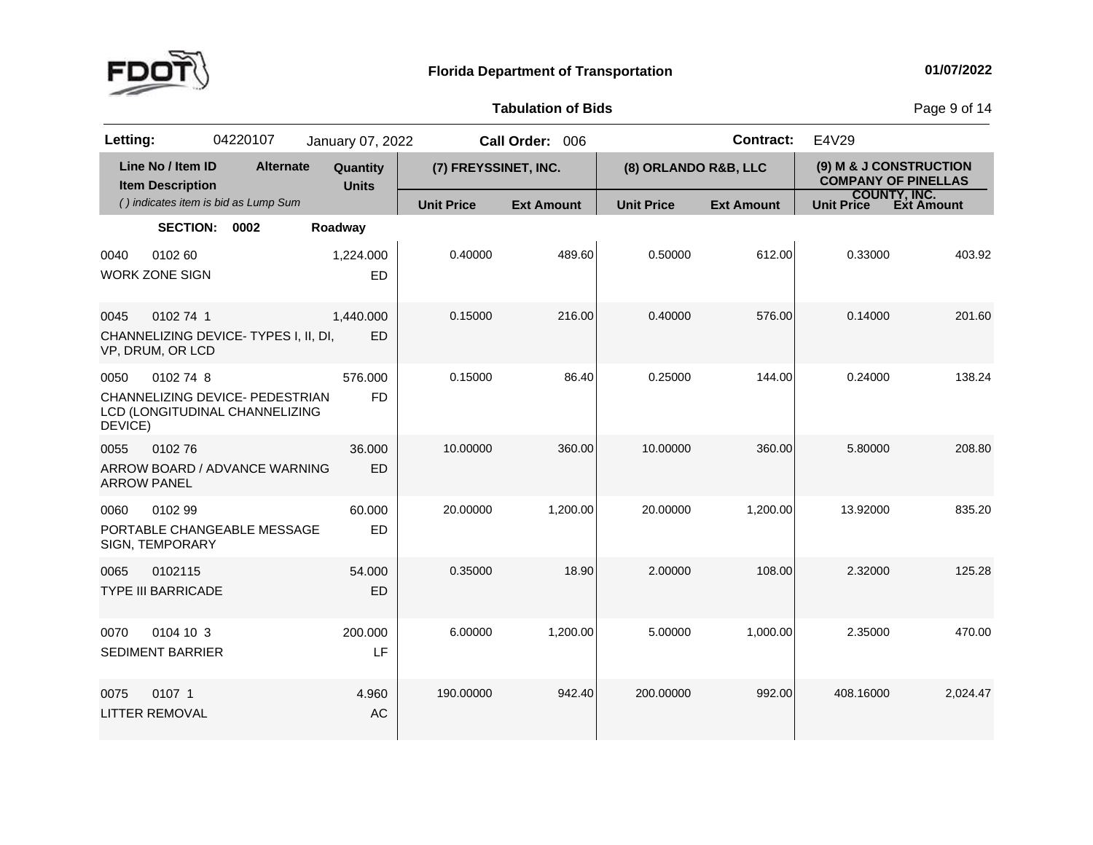

**of Bids** Page <sup>9</sup> of <sup>14</sup>

| Letting:                   |                                              | 04220107                                                          | January 07, 2022         |                      | Call Order: 006   |                      | <b>Contract:</b>  | E4V29                                                |                   |
|----------------------------|----------------------------------------------|-------------------------------------------------------------------|--------------------------|----------------------|-------------------|----------------------|-------------------|------------------------------------------------------|-------------------|
|                            | Line No / Item ID<br><b>Item Description</b> | <b>Alternate</b>                                                  | Quantity<br><b>Units</b> | (7) FREYSSINET, INC. |                   | (8) ORLANDO R&B, LLC |                   | (9) M & J CONSTRUCTION<br><b>COMPANY OF PINELLAS</b> |                   |
|                            |                                              | () indicates item is bid as Lump Sum                              |                          | <b>Unit Price</b>    | <b>Ext Amount</b> | <b>Unit Price</b>    | <b>Ext Amount</b> | <b>COUNTY, INC.</b><br>Unit Price                    | <b>Ext Amount</b> |
|                            | <b>SECTION:</b>                              | 0002                                                              | Roadway                  |                      |                   |                      |                   |                                                      |                   |
| 0040                       | 0102 60<br><b>WORK ZONE SIGN</b>             |                                                                   | 1,224.000<br>ED          | 0.40000              | 489.60            | 0.50000              | 612.00            | 0.33000                                              | 403.92            |
| 0045                       | 0102 74 1<br>VP, DRUM, OR LCD                | CHANNELIZING DEVICE-TYPES I, II, DI,                              | 1,440.000<br>ED          | 0.15000              | 216.00            | 0.40000              | 576.00            | 0.14000                                              | 201.60            |
| 0050<br>DEVICE)            | 0102 74 8                                    | CHANNELIZING DEVICE- PEDESTRIAN<br>LCD (LONGITUDINAL CHANNELIZING | 576.000<br><b>FD</b>     | 0.15000              | 86.40             | 0.25000              | 144.00            | 0.24000                                              | 138.24            |
| 0055<br><b>ARROW PANEL</b> | 010276                                       | ARROW BOARD / ADVANCE WARNING                                     | 36.000<br>ED             | 10.00000             | 360.00            | 10.00000             | 360.00            | 5.80000                                              | 208.80            |
| 0060                       | 0102 99<br>SIGN, TEMPORARY                   | PORTABLE CHANGEABLE MESSAGE                                       | 60.000<br>ED             | 20.00000             | 1,200.00          | 20.00000             | 1,200.00          | 13.92000                                             | 835.20            |
| 0065                       | 0102115<br><b>TYPE III BARRICADE</b>         |                                                                   | 54,000<br>ED             | 0.35000              | 18.90             | 2.00000              | 108.00            | 2.32000                                              | 125.28            |
| 0070                       | 0104 10 3<br><b>SEDIMENT BARRIER</b>         |                                                                   | 200.000<br>LF            | 6.00000              | 1,200.00          | 5.00000              | 1,000.00          | 2.35000                                              | 470.00            |
| 0075                       | 0107 1<br><b>LITTER REMOVAL</b>              |                                                                   | 4.960<br><b>AC</b>       | 190.00000            | 942.40            | 200.00000            | 992.00            | 408.16000                                            | 2,024.47          |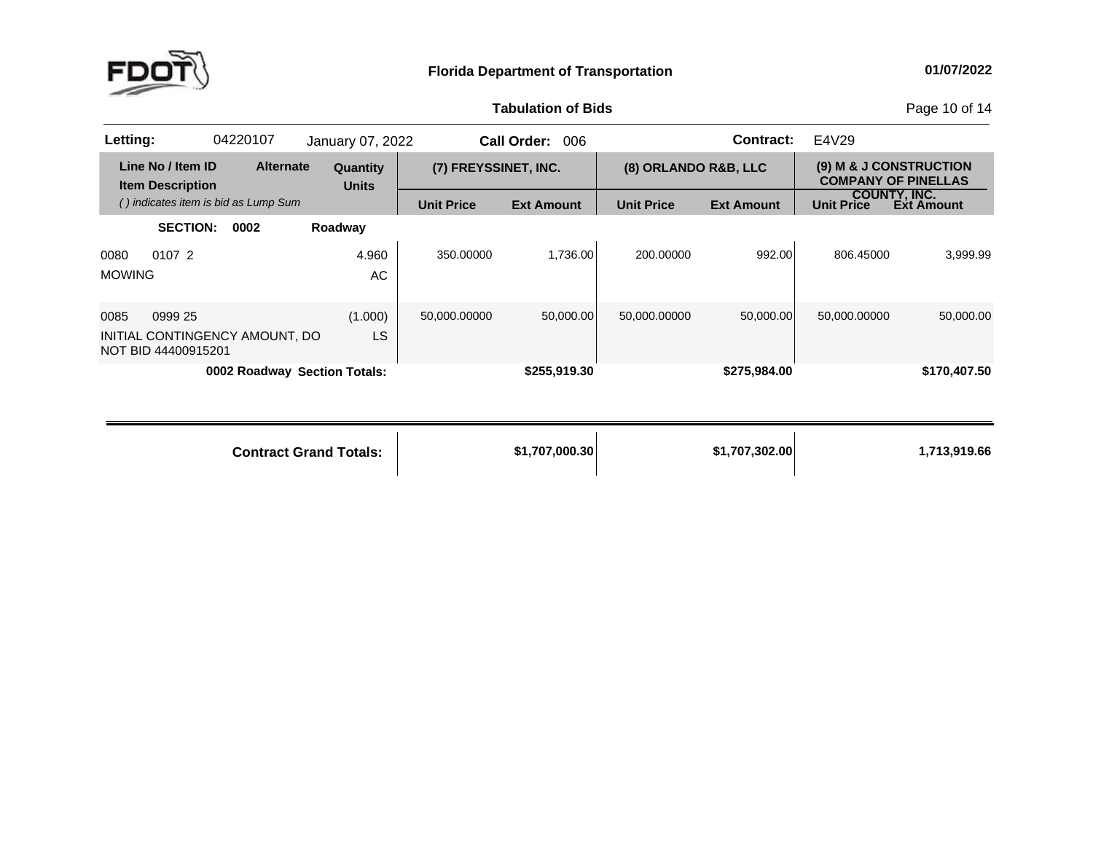

**of Bids** Page <sup>10</sup> of <sup>14</sup>

| Letting:              |                                                                  | 04220107 |                  | January 07, 2022                |                      | <b>Call Order:</b><br>006 |                      | <b>Contract:</b>  | E4V29             |                                                      |
|-----------------------|------------------------------------------------------------------|----------|------------------|---------------------------------|----------------------|---------------------------|----------------------|-------------------|-------------------|------------------------------------------------------|
|                       | Line No / Item ID<br><b>Item Description</b>                     |          | <b>Alternate</b> | <b>Quantity</b><br><b>Units</b> | (7) FREYSSINET, INC. |                           | (8) ORLANDO R&B, LLC |                   |                   | (9) M & J CONSTRUCTION<br><b>COMPANY OF PINELLAS</b> |
|                       | () indicates item is bid as Lump Sum                             |          |                  |                                 | <b>Unit Price</b>    | <b>Ext Amount</b>         | <b>Unit Price</b>    | <b>Ext Amount</b> | <b>Unit Price</b> | COUNTY, INC.<br>Ext Amount                           |
|                       | <b>SECTION:</b>                                                  | 0002     |                  | Roadway                         |                      |                           |                      |                   |                   |                                                      |
| 0080<br><b>MOWING</b> | 0107 2                                                           |          |                  | 4.960<br>AC                     | 350,00000            | 1.736.00                  | 200.00000            | 992.00            | 806.45000         | 3.999.99                                             |
| 0085                  | 0999 25<br>INITIAL CONTINGENCY AMOUNT, DO<br>NOT BID 44400915201 |          |                  | (1.000)<br><b>LS</b>            | 50,000.00000         | 50.000.00                 | 50,000.00000         | 50,000.00         | 50.000.00000      | 50,000.00                                            |
|                       |                                                                  |          |                  | 0002 Roadway Section Totals:    |                      | \$255,919.30              |                      | \$275,984.00      |                   | \$170,407.50                                         |

| <b>Contract Grand Totals:</b> | \$1,707,000.30 | \$1,707,302.00 | 1,713,919.66 |
|-------------------------------|----------------|----------------|--------------|
|                               |                |                |              |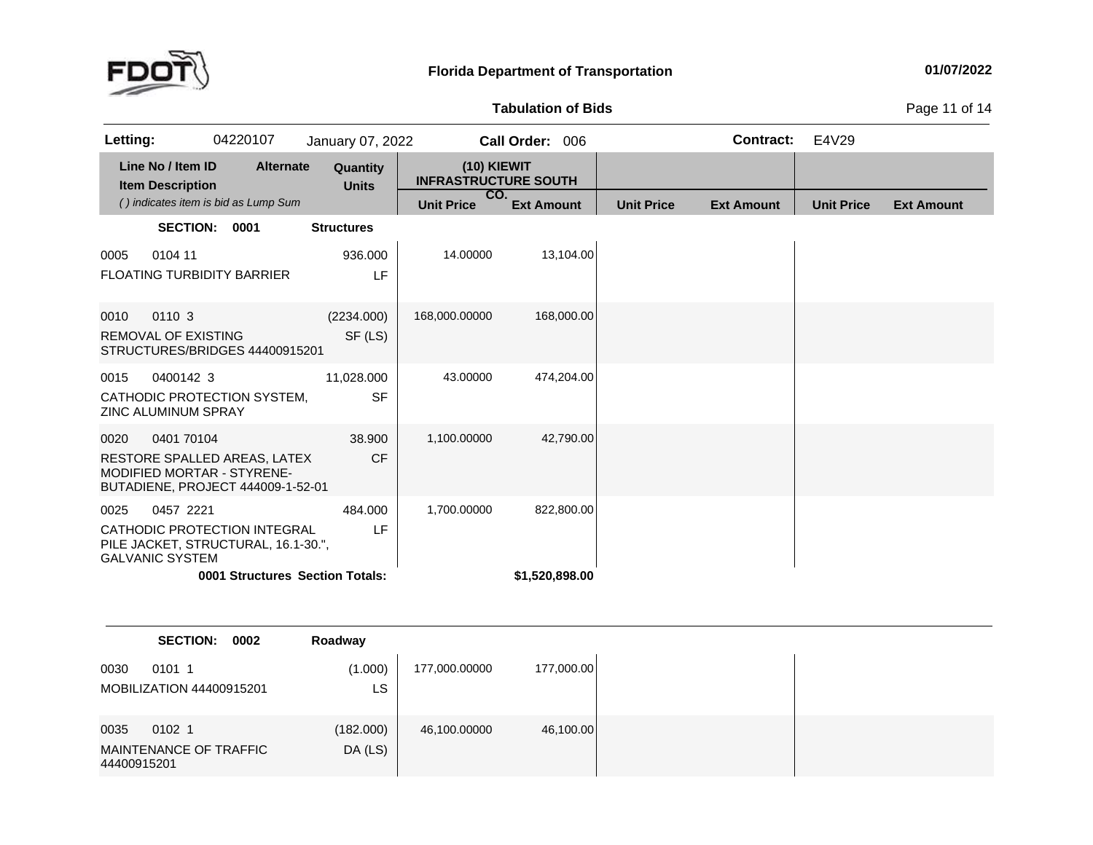

**of Bids** Page <sup>11</sup> of <sup>14</sup>

| Letting:                                             | 04220107                                                                                                      | January 07, 2022         |                                              | Call Order: 006              |                   | <b>Contract:</b>  | E4V29             |                   |
|------------------------------------------------------|---------------------------------------------------------------------------------------------------------------|--------------------------|----------------------------------------------|------------------------------|-------------------|-------------------|-------------------|-------------------|
| Line No / Item ID<br><b>Item Description</b>         | <b>Alternate</b>                                                                                              | Quantity<br><b>Units</b> | $(10)$ KIEWIT<br><b>INFRASTRUCTURE SOUTH</b> |                              |                   |                   |                   |                   |
|                                                      | () indicates item is bid as Lump Sum                                                                          |                          | CO.<br><b>Unit Price</b>                     | <b>Ext Amount</b>            | <b>Unit Price</b> | <b>Ext Amount</b> | <b>Unit Price</b> | <b>Ext Amount</b> |
|                                                      | SECTION: 0001                                                                                                 | <b>Structures</b>        |                                              |                              |                   |                   |                   |                   |
| 0104 11<br>0005<br><b>FLOATING TURBIDITY BARRIER</b> |                                                                                                               | 936.000<br>LF            | 14.00000                                     | 13,104.00                    |                   |                   |                   |                   |
| 0110 3<br>0010<br>REMOVAL OF EXISTING                | STRUCTURES/BRIDGES 44400915201                                                                                | (2234.000)<br>SF (LS)    | 168,000.00000                                | 168,000.00                   |                   |                   |                   |                   |
| 0015<br>0400142 3<br><b>ZINC ALUMINUM SPRAY</b>      | CATHODIC PROTECTION SYSTEM,                                                                                   | 11,028.000<br><b>SF</b>  | 43.00000                                     | 474,204.00                   |                   |                   |                   |                   |
| 0401 70104<br>0020                                   | RESTORE SPALLED AREAS, LATEX<br><b>MODIFIED MORTAR - STYRENE-</b><br>BUTADIENE, PROJECT 444009-1-52-01        | 38,900<br><b>CF</b>      | 1,100.00000                                  | 42,790.00                    |                   |                   |                   |                   |
| 0457 2221<br>0025<br><b>GALVANIC SYSTEM</b>          | CATHODIC PROTECTION INTEGRAL<br>PILE JACKET, STRUCTURAL, 16.1-30.",<br><b>0001 Structures Section Totals:</b> | 484.000<br>LF            | 1,700.00000                                  | 822,800.00<br>\$1,520,898.00 |                   |                   |                   |                   |
|                                                      |                                                                                                               |                          |                                              |                              |                   |                   |                   |                   |

|                     | <b>SECTION:</b>                    | 0002 | Roadway              |               |            |
|---------------------|------------------------------------|------|----------------------|---------------|------------|
| 0030                | 0101 1<br>MOBILIZATION 44400915201 |      | (1.000)<br>LS        | 177,000.00000 | 177,000.00 |
| 0035<br>44400915201 | 0102 1<br>MAINTENANCE OF TRAFFIC   |      | (182.000)<br>DA (LS) | 46,100.00000  | 46,100.00  |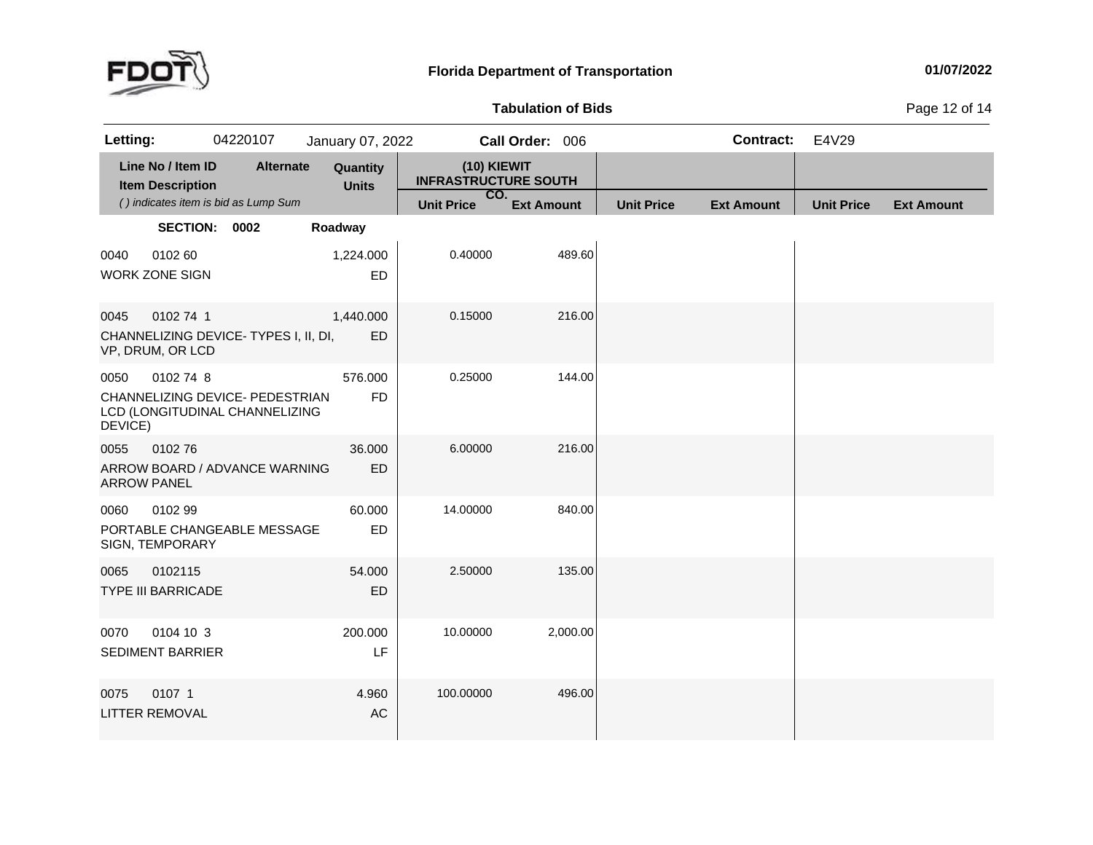

#### **01/07/2022**

#### **Tabulation**

**of Bids** Page <sup>12</sup> of <sup>14</sup>

| Letting:                   |                                              | 04220107                                                          | January 07, 2022         |                                            | Call Order: 006   |                   | <b>Contract:</b>  | E4V29             |                   |
|----------------------------|----------------------------------------------|-------------------------------------------------------------------|--------------------------|--------------------------------------------|-------------------|-------------------|-------------------|-------------------|-------------------|
|                            | Line No / Item ID<br><b>Item Description</b> | <b>Alternate</b>                                                  | Quantity<br><b>Units</b> | (10) KIEWIT<br><b>INFRASTRUCTURE SOUTH</b> |                   |                   |                   |                   |                   |
|                            |                                              | () indicates item is bid as Lump Sum                              |                          | CO.<br><b>Unit Price</b>                   | <b>Ext Amount</b> | <b>Unit Price</b> | <b>Ext Amount</b> | <b>Unit Price</b> | <b>Ext Amount</b> |
|                            | SECTION: 0002                                |                                                                   | Roadway                  |                                            |                   |                   |                   |                   |                   |
| 0040                       | 0102 60<br><b>WORK ZONE SIGN</b>             |                                                                   | 1,224.000<br>ED          | 0.40000                                    | 489.60            |                   |                   |                   |                   |
| 0045                       | 0102 74 1<br>VP, DRUM, OR LCD                | CHANNELIZING DEVICE-TYPES I, II, DI,                              | 1,440.000<br>ED          | 0.15000                                    | 216.00            |                   |                   |                   |                   |
| 0050<br>DEVICE)            | 0102 74 8                                    | CHANNELIZING DEVICE- PEDESTRIAN<br>LCD (LONGITUDINAL CHANNELIZING | 576.000<br><b>FD</b>     | 0.25000                                    | 144.00            |                   |                   |                   |                   |
| 0055<br><b>ARROW PANEL</b> | 010276                                       | ARROW BOARD / ADVANCE WARNING                                     | 36.000<br><b>ED</b>      | 6.00000                                    | 216.00            |                   |                   |                   |                   |
| 0060                       | 0102 99<br>SIGN, TEMPORARY                   | PORTABLE CHANGEABLE MESSAGE                                       | 60.000<br>ED             | 14.00000                                   | 840.00            |                   |                   |                   |                   |
| 0065                       | 0102115<br><b>TYPE III BARRICADE</b>         |                                                                   | 54.000<br>ED             | 2.50000                                    | 135.00            |                   |                   |                   |                   |
| 0070                       | 0104 10 3<br><b>SEDIMENT BARRIER</b>         |                                                                   | 200.000<br>LF            | 10.00000                                   | 2,000.00          |                   |                   |                   |                   |
| 0075                       | 0107 1<br><b>LITTER REMOVAL</b>              |                                                                   | 4.960<br><b>AC</b>       | 100.00000                                  | 496.00            |                   |                   |                   |                   |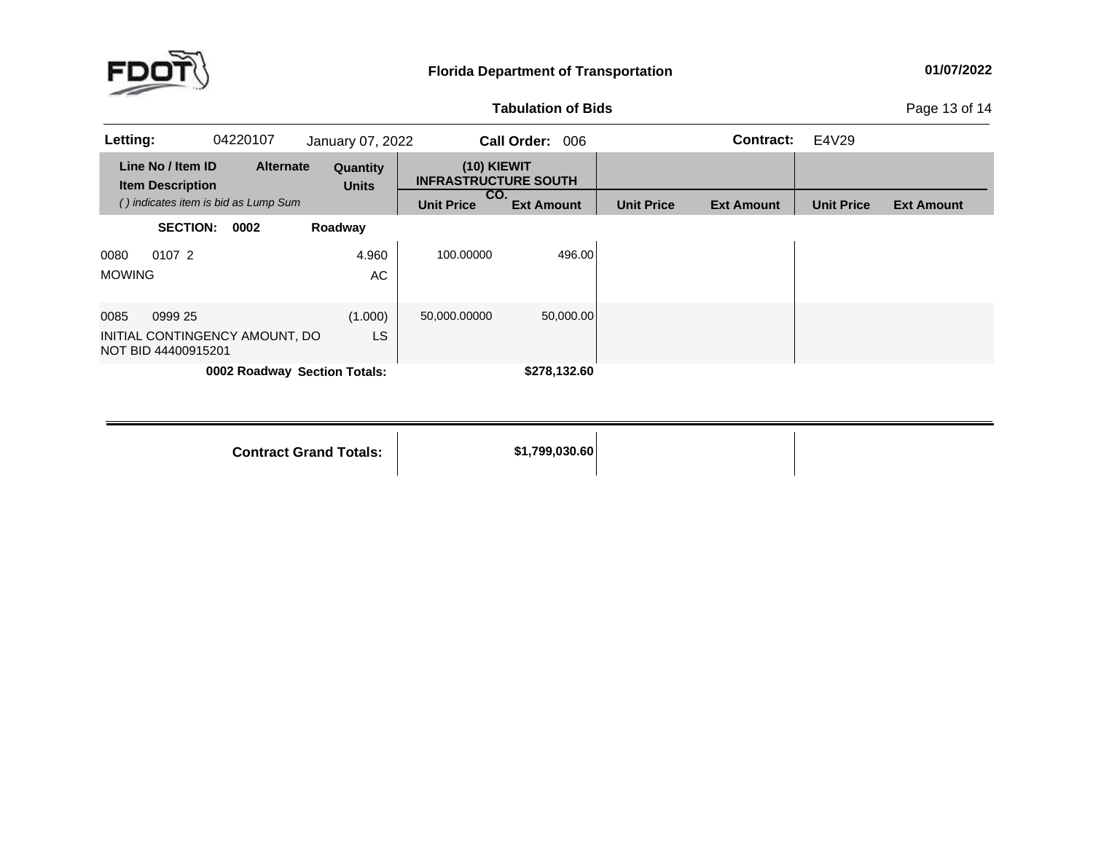

#### **01/07/2022**

### **Tabulation**

**of Bids** Page <sup>13</sup> of <sup>14</sup>

| Letting:      |                                                       | 04220107 |                  | January 07, 2022             |                                                   | <b>Call Order:</b><br>006 |                   | <b>Contract:</b>  | E4V29             |                   |
|---------------|-------------------------------------------------------|----------|------------------|------------------------------|---------------------------------------------------|---------------------------|-------------------|-------------------|-------------------|-------------------|
|               | Line No / Item ID<br><b>Item Description</b>          |          | <b>Alternate</b> | Quantity<br><b>Units</b>     | (10) KIEWIT<br><b>INFRASTRUCTURE SOUTH</b><br>CO. |                           |                   |                   |                   |                   |
|               | () indicates item is bid as Lump Sum                  |          |                  |                              | <b>Unit Price</b>                                 | <b>Ext Amount</b>         | <b>Unit Price</b> | <b>Ext Amount</b> | <b>Unit Price</b> | <b>Ext Amount</b> |
|               | <b>SECTION:</b>                                       | 0002     |                  | Roadway                      |                                                   |                           |                   |                   |                   |                   |
| 0080          | 0107 2                                                |          |                  | 4.960                        | 100.00000                                         | 496.00                    |                   |                   |                   |                   |
| <b>MOWING</b> |                                                       |          |                  | AC                           |                                                   |                           |                   |                   |                   |                   |
| 0085          | 0999 25                                               |          |                  | (1.000)                      | 50,000.00000                                      | 50,000.00                 |                   |                   |                   |                   |
|               | INITIAL CONTINGENCY AMOUNT, DO<br>NOT BID 44400915201 |          |                  | <b>LS</b>                    |                                                   |                           |                   |                   |                   |                   |
|               |                                                       |          |                  | 0002 Roadway Section Totals: |                                                   | \$278,132.60              |                   |                   |                   |                   |

**Contract Grand**

**Totals: \$1,799,030.60**